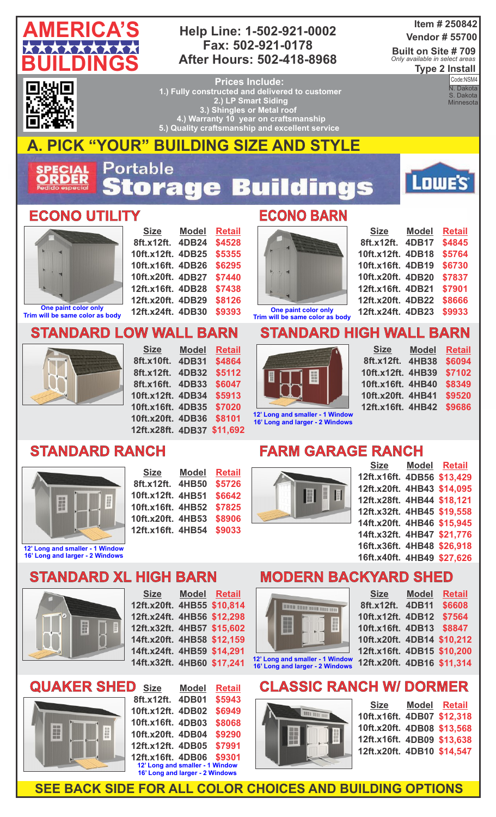

#### **Help Line: 1-502-921-0002 Fax: 502-921-0178 After Hours: 502-418-8968**

#### **Item # 250842 Vendor # 55700**

**Built on Site # 709 Type 2 Install** *Only available in select areas*

▎▆ 87

**Prices Include: 1.) Fully constructed and delivered to customer 2.) LP Smart Siding 3.) Shingles or Metal roof 4.) Warranty 10 year on craftsmanship 5.) Quality craftsmanship and excellent service** 

**Code:NSM4**<br>N. Dakota Code:NSM4 S. Dakota **Minnesota** 

**AMERICA'S CONSTRUCTION** 

Lowe's



# **A. PICK "YOUR" BUILDING SIZE AND STYLE**

Portable **ECIAL<br>RDER** tora 53 ngs  $\ddot{\bullet}$ ÷

#### **ECONO UTILITY ECONO BARN**



**Trim will be same color as body**

**Size 8ft.x12ft. 4DB24 10ft.x12ft. 4DB25 10ft.x16ft. 4DB26 10ft.x20ft. 4DB27 12ft.x16ft. 4DB28 12ft.x20ft. 4DB29 12ft.x24ft. 4DB30 Model Retail \$4528 \$5355 \$6295 \$7440 \$7438 \$8126 \$9393**

**Model**

**Retail \$4864 \$5112 \$6047 \$5913 \$7020**



| <b>Size</b>       | <b>Model</b> | <b>Retail</b> |
|-------------------|--------------|---------------|
| 8ft.x12ft.        | 4DB17        | \$4845        |
| 10ft.x12ft. 4DB18 |              | \$5764        |
| 10ft.x16ft. 4DB19 |              | \$6730        |
| 10ft.x20ft. 4DB20 |              | \$7837        |
| 12ft.x16ft. 4DB21 |              | \$7901        |
| 12ft.x20ft. 4DB22 |              | \$8666        |
| 12ft.x24ft. 4DB23 |              | \$9933        |

**One paint color only Trim will be same color as body**

## **STANDARD HIGH WALL BARN**



| <b>Size</b>       | <b>Model</b> | <b>Retail</b> |
|-------------------|--------------|---------------|
| 8ft.x12ft.        | <b>4HB38</b> | \$6094        |
| 10ft.x12ft. 4HB39 |              | \$7102        |
| 10ft.x16ft. 4HB40 |              | \$8349        |
| 10ft.x20ft. 4HB41 |              | \$9520        |
| 12ft.x16ft. 4HB42 |              | \$9686        |
|                   |              |               |

**12' Long and smaller - 1 Window 16' Long and larger - 2 Windows**

|                   | 10ft.x16ft. 4HB40 \$834 |  |
|-------------------|-------------------------|--|
|                   | 10ft.x20ft. 4HB41 \$952 |  |
| wob<br><b>OWS</b> | 12ft.x16ft. 4HB42 \$968 |  |

### **STANDARD RANCH**



**16' Long and larger - 2 Windows**

| Size              | <b>Model</b> | <b>Retail</b> |
|-------------------|--------------|---------------|
| 8ft.x12ft.        | <b>4HB50</b> | \$5726        |
| 10ft.x12ft. 4HB51 |              | \$6642        |
| 10ft.x16ft. 4HB52 |              | \$7825        |
| 10ft.x20ft. 4HB53 |              | \$8906        |
| 12ft.x16ft. 4HB54 |              | \$9033        |

**10ft.x20ft. 4DB36 \$8101 12ft.x28ft. 4DB37 \$11,692**

### **FARM GARAGE RANCH**



| Size Model Retail          |  |
|----------------------------|--|
| 12ft.x16ft. 4DB56 \$13,429 |  |
| 12ft.x20ft. 4HB43 \$14,095 |  |
| 12ft.x28ft. 4HB44 \$18,121 |  |
| 12ft.x32ft. 4HB45 \$19,558 |  |
| 14ft.x20ft. 4HB46 \$15,945 |  |
| 14ft.x32ft. 4HB47 \$21,776 |  |
| 16ft.x36ft. 4HB48 \$26,918 |  |
| 16ft.x40ft. 4HB49 \$27,626 |  |
|                            |  |

## **STANDARD XL HIGH BARN**

**STANDARD LOW WALL BARN**

**Size**

**8ft.x10ft. 4DB31 8ft.x12ft. 4DB32 8ft.x16ft. 4DB33 10ft.x12ft. 4DB34 10ft.x16ft. 4DB35**



**Size 12ft.x20ft. 4HB55 \$10,814 12ft.x24ft. 4HB56 \$12,298 12ft.x32ft. 4HB57 \$15,602 14ft.x20ft. 4HB58 \$12,159 14ft.x24ft. 4HB59 \$14,291 14ft.x32ft. 4HB60 \$17,241 Model Retail**



| \$5943<br>8ft.x12ft. 4DB01                                         |  |
|--------------------------------------------------------------------|--|
| \$6949<br>10ft.x12ft. 4DB02                                        |  |
| \$8068<br>10ft.x16ft. 4DB03                                        |  |
| \$9290<br>10ft.x20ft. 4DB04                                        |  |
| \$7991<br>12ft.x12ft. 4DB05                                        |  |
| 12ft.x16ft. 4DB06 \$9301                                           |  |
| 12' Long and smaller - 1 Window<br>16' Long and larger - 2 Windows |  |

#### **MODERN BACKYARD SHED**  $S := S$

|  | $\overline{\mathbf{u}}$ |  |
|--|-------------------------|--|
|  |                         |  |
|  |                         |  |

**12' Long and smaller - 1 Window 16' Long and larger - 2 Windows**

| <b>Size</b>                | <b>Model</b> | <b>Retail</b> |
|----------------------------|--------------|---------------|
| 8ft.x12ft.                 | <b>4DB11</b> | \$6608        |
| 10ft.x12ft. 4DB12          |              | \$7564        |
| 10ft.x16ft. 4DB13          |              | \$8847        |
| 10ft.x20ft. 4DB14 \$10,212 |              |               |
| 12ft.x16ft. 4DB15 \$10,200 |              |               |
| 12ft.x20ft. 4DB16 \$11,314 |              |               |
|                            |              |               |

# **CLASSIC RANCH W/ DORMER**



| Model Retail               |
|----------------------------|
| 10ft.x16ft. 4DB07 \$12,318 |
| 10ft.x20ft. 4DB08 \$13,568 |
| 12ft.x16ft. 4DB09 \$13,638 |
| 12ft.x20ft. 4DB10 \$14,547 |
|                            |

**SEE BACK SIDE FOR ALL COLOR CHOICES AND BUILDING OPTIONS**